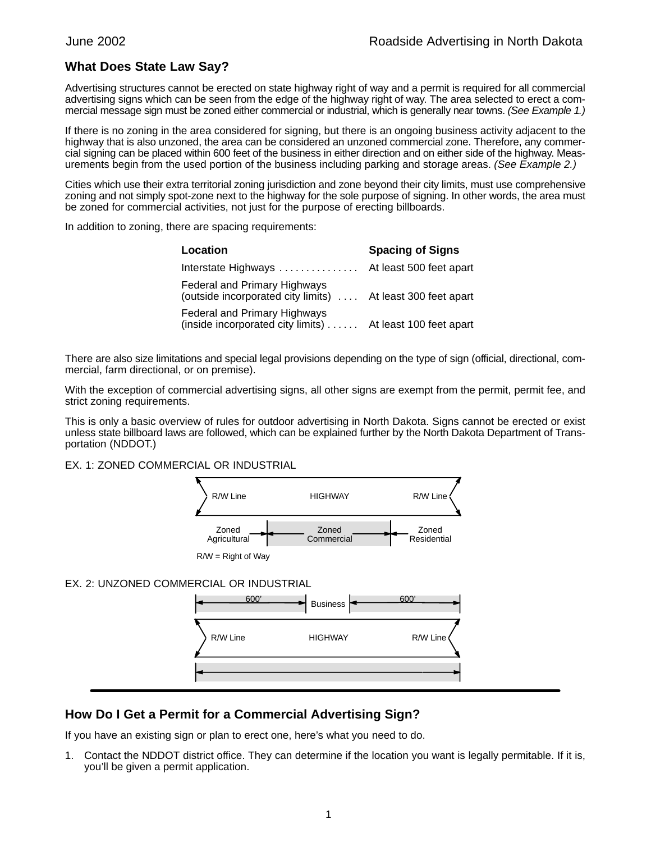## **What Does State Law Say?**

Advertising structures cannot be erected on state highway right of way and a permit is required for all commercial advertising signs which can be seen from the edge of the highway right of way. The area selected to erect a commercial message sign must be zoned either commercial or industrial, which is generally near towns. (See Example 1.)

If there is no zoning in the area considered for signing, but there is an ongoing business activity adjacent to the highway that is also unzoned, the area can be considered an unzoned commercial zone. Therefore, any commercial signing can be placed within 600 feet of the business in either direction and on either side of the highway. Measurements begin from the used portion of the business including parking and storage areas. (See Example 2.)

Cities which use their extra territorial zoning jurisdiction and zone beyond their city limits, must use comprehensive zoning and not simply spot-zone next to the highway for the sole purpose of signing. In other words, the area must be zoned for commercial activities, not just for the purpose of erecting billboards.

In addition to zoning, there are spacing requirements:

| Location                                                                                    | <b>Spacing of Signs</b> |
|---------------------------------------------------------------------------------------------|-------------------------|
| Interstate Highways  At least 500 feet apart                                                |                         |
| Federal and Primary Highways<br>(outside incorporated city limits)  At least 300 feet apart |                         |
| Federal and Primary Highways<br>(inside incorporated city limits)  At least 100 feet apart  |                         |

There are also size limitations and special legal provisions depending on the type of sign (official, directional, commercial, farm directional, or on premise).

With the exception of commercial advertising signs, all other signs are exempt from the permit, permit fee, and strict zoning requirements.

This is only a basic overview of rules for outdoor advertising in North Dakota. Signs cannot be erected or exist unless state billboard laws are followed, which can be explained further by the North Dakota Department of Transportation (NDDOT.)

EX. 1: ZONED COMMERCIAL OR INDUSTRIAL



 $R/W =$  Right of Way

## EX. 2: UNZONED COMMERCIAL OR INDUSTRIAL



## **How Do I Get a Permit for a Commercial Advertising Sign?**

If you have an existing sign or plan to erect one, here's what you need to do.

1. Contact the NDDOT district office. They can determine if the location you want is legally permitable. If it is, you'll be given a permit application.